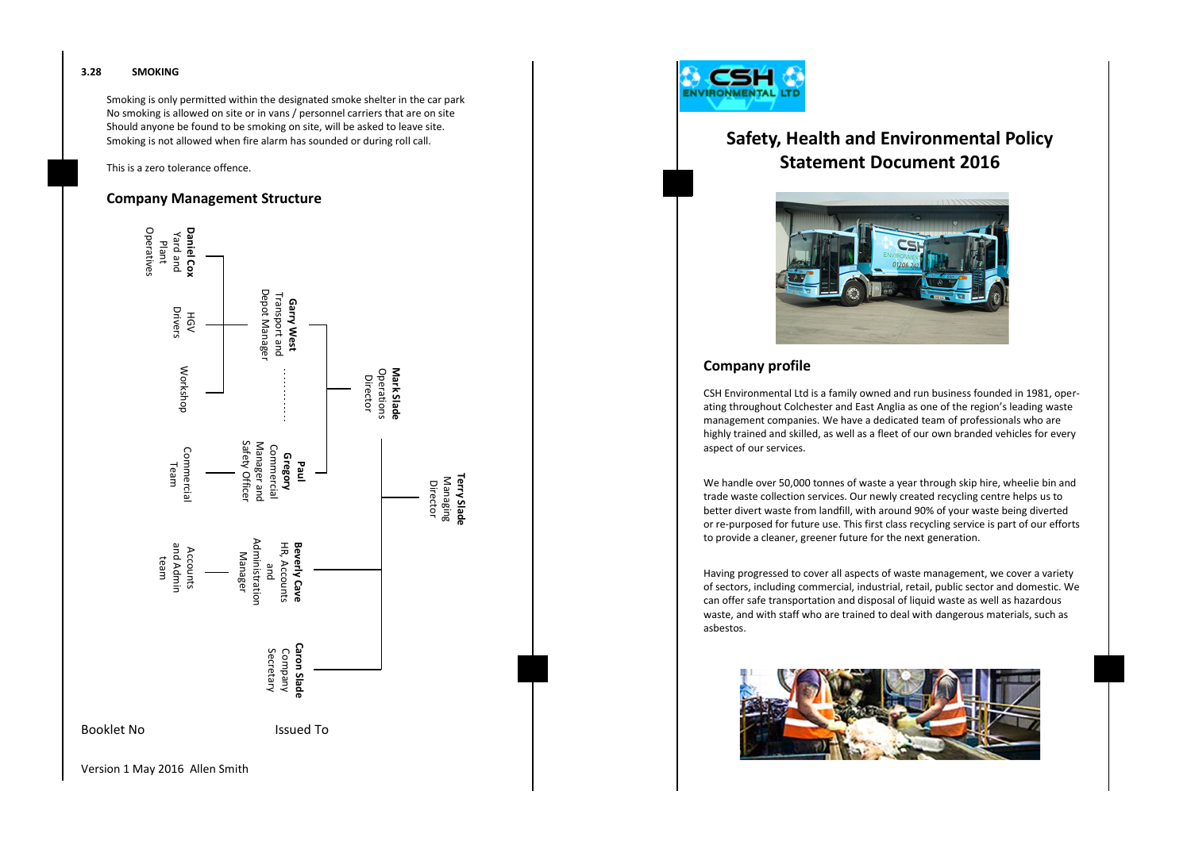#### **3.28 SMOKING**

Smoking is only permitted within the designated smoke shelter in the car park No smoking is allowed on site or in vans / personnel carriers that are on site Should anyone be found to be smoking on site, will be asked to leave site. Smoking is not allowed when fire alarm has sounded or during roll call.

This is a zero tolerance offence.

## **Company Management Structure**





# **Safety, Health and Environmental Policy Statement Document 2016**



# **Company profile**

CSH Environmental Ltd is a family owned and run business founded in 1981, operating throughout Colchester and East Anglia as one of the region's leading waste management companies. We have a dedicated team of professionals who are highly trained and skilled, as well as a fleet of our own branded vehicles for every aspect of our services.

We handle over 50,000 tonnes of waste a year through skip hire, wheelie bin and trade waste collection services. Our newly created recycling centre helps us to better divert waste from landfill, with around 90% of your waste being diverted or re-purposed for future use. This first class recycling service is part of our efforts to provide a cleaner, greener future for the next generation.

Having progressed to cover all aspects of waste management, we cover a variety of sectors, including commercial, industrial, retail, public sector and domestic. We can offer safe transportation and disposal of liquid waste as well as hazardous waste, and with staff who are trained to deal with dangerous materials, such as asbestos.

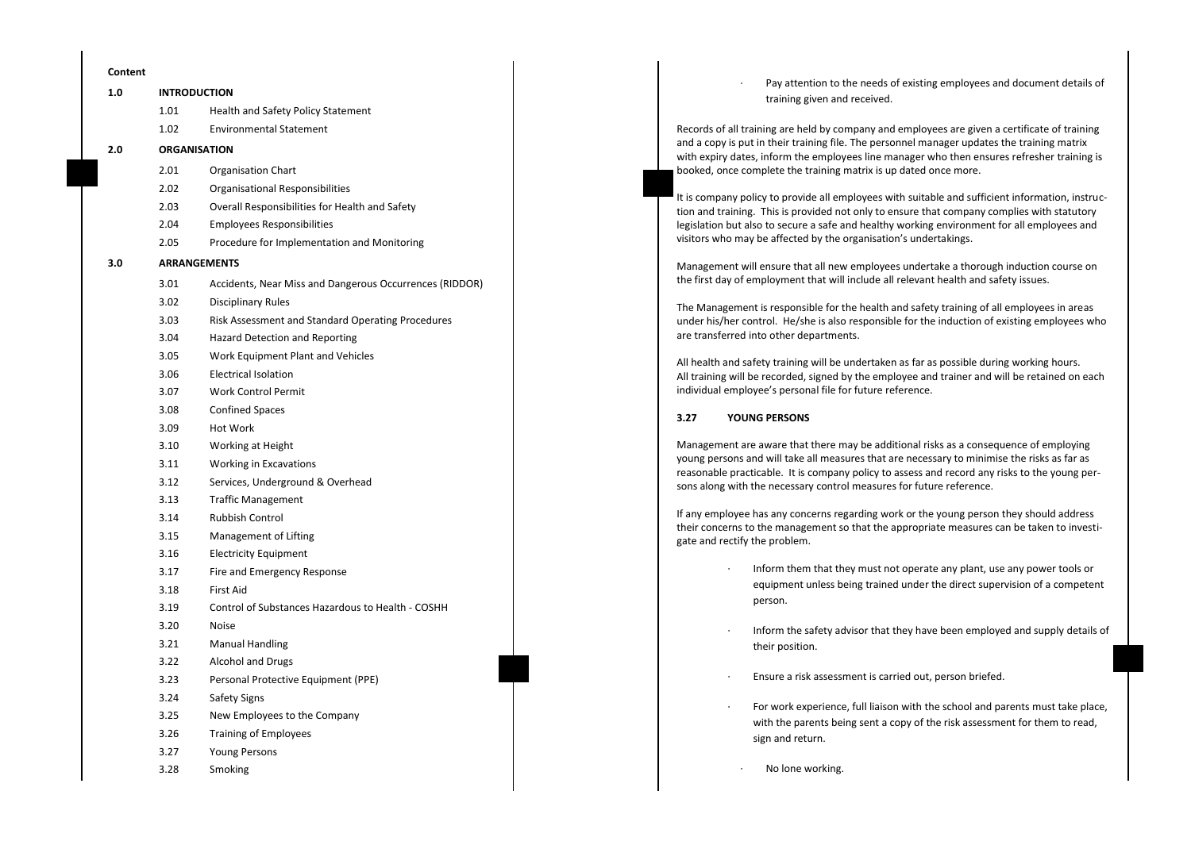| Content |                     |                                                         |  |  |  |
|---------|---------------------|---------------------------------------------------------|--|--|--|
| 1.0     | <b>INTRODUCTION</b> |                                                         |  |  |  |
|         | 1.01                | <b>Health and Safety Policy Statement</b>               |  |  |  |
|         | 1.02                | <b>Environmental Statement</b>                          |  |  |  |
| 2.0     | <b>ORGANISATION</b> |                                                         |  |  |  |
|         | 2.01                | <b>Organisation Chart</b>                               |  |  |  |
|         | 2.02                | Organisational Responsibilities                         |  |  |  |
|         | 2.03                | Overall Responsibilities for Health and Safety          |  |  |  |
|         | 2.04                | <b>Employees Responsibilities</b>                       |  |  |  |
|         | 2.05                | Procedure for Implementation and Monitoring             |  |  |  |
| 3.0     | <b>ARRANGEMENTS</b> |                                                         |  |  |  |
|         | 3.01                | Accidents, Near Miss and Dangerous Occurrences (RIDDOR) |  |  |  |
|         | 3.02                | <b>Disciplinary Rules</b>                               |  |  |  |
|         | 3.03                | Risk Assessment and Standard Operating Procedures       |  |  |  |
|         | 3.04                | Hazard Detection and Reporting                          |  |  |  |
|         | 3.05                | Work Equipment Plant and Vehicles                       |  |  |  |
|         | 3.06                | <b>Electrical Isolation</b>                             |  |  |  |
|         | 3.07                | <b>Work Control Permit</b>                              |  |  |  |
|         | 3.08                | <b>Confined Spaces</b>                                  |  |  |  |
|         | 3.09                | <b>Hot Work</b>                                         |  |  |  |
|         | 3.10                | Working at Height                                       |  |  |  |
|         | 3.11                | Working in Excavations                                  |  |  |  |
|         | 3.12                | Services, Underground & Overhead                        |  |  |  |
|         | 3.13                | <b>Traffic Management</b>                               |  |  |  |
|         | 3.14                | <b>Rubbish Control</b>                                  |  |  |  |
|         | 3.15                | Management of Lifting                                   |  |  |  |
|         | 3.16                | <b>Electricity Equipment</b>                            |  |  |  |
|         | 3.17                | Fire and Emergency Response                             |  |  |  |
|         | 3.18                | <b>First Aid</b>                                        |  |  |  |
|         | 3.19                | Control of Substances Hazardous to Health - COSHH       |  |  |  |
|         | 3.20                | <b>Noise</b>                                            |  |  |  |
|         | 3.21                | <b>Manual Handling</b>                                  |  |  |  |
|         | 3.22                | <b>Alcohol and Drugs</b>                                |  |  |  |
|         | 3.23                | Personal Protective Equipment (PPE)                     |  |  |  |
|         | 3.24                | Safety Signs                                            |  |  |  |
|         | 3.25                | New Employees to the Company                            |  |  |  |
|         | 3.26                | <b>Training of Employees</b>                            |  |  |  |
|         | 3.27                | <b>Young Persons</b>                                    |  |  |  |
|         | 3.28                | Smoking                                                 |  |  |  |

| Pay attention to the needs of existing employees and document details of |
|--------------------------------------------------------------------------|
| training given and received.                                             |

Records of all training are held by company and employees are given a certificate of training and a copy is put in their training file. The personnel manager updates the training matrix with expiry dates, inform the employees line manager who then ensures refresher training is booked, once complete the training matrix is up dated once more.

It is company policy to provide all employees with suitable and sufficient information, instruction and training. This is provided not only to ensure that company complies with statutory legislation but also to secure a safe and healthy working environment for all employees and visitors who may be affected by the organisation's undertakings.

Management will ensure that all new employees undertake a thorough induction course on the first day of employment that will include all relevant health and safety issues.

The Management is responsible for the health and safety training of all employees in areas under his/her control. He/she is also responsible for the induction of existing employees who are transferred into other departments.

All health and safety training will be undertaken as far as possible during working hours. All training will be recorded, signed by the employee and trainer and will be retained on each individual employee's personal file for future reference.

#### **3.27 YOUNG PERSONS**

Management are aware that there may be additional risks as a consequence of employing young persons and will take all measures that are necessary to minimise the risks as far as reasonable practicable. It is company policy to assess and record any risks to the young persons along with the necessary control measures for future reference.

If any employee has any concerns regarding work or the young person they should address their concerns to the management so that the appropriate measures can be taken to investigate and rectify the problem.

- · Inform them that they must not operate any plant, use any power tools or equipment unless being trained under the direct supervision of a competent person.
- · Inform the safety advisor that they have been employed and supply details of their position.
- Ensure a risk assessment is carried out, person briefed.
- For work experience, full liaison with the school and parents must take place, with the parents being sent a copy of the risk assessment for them to read, sign and return.
	- No lone working.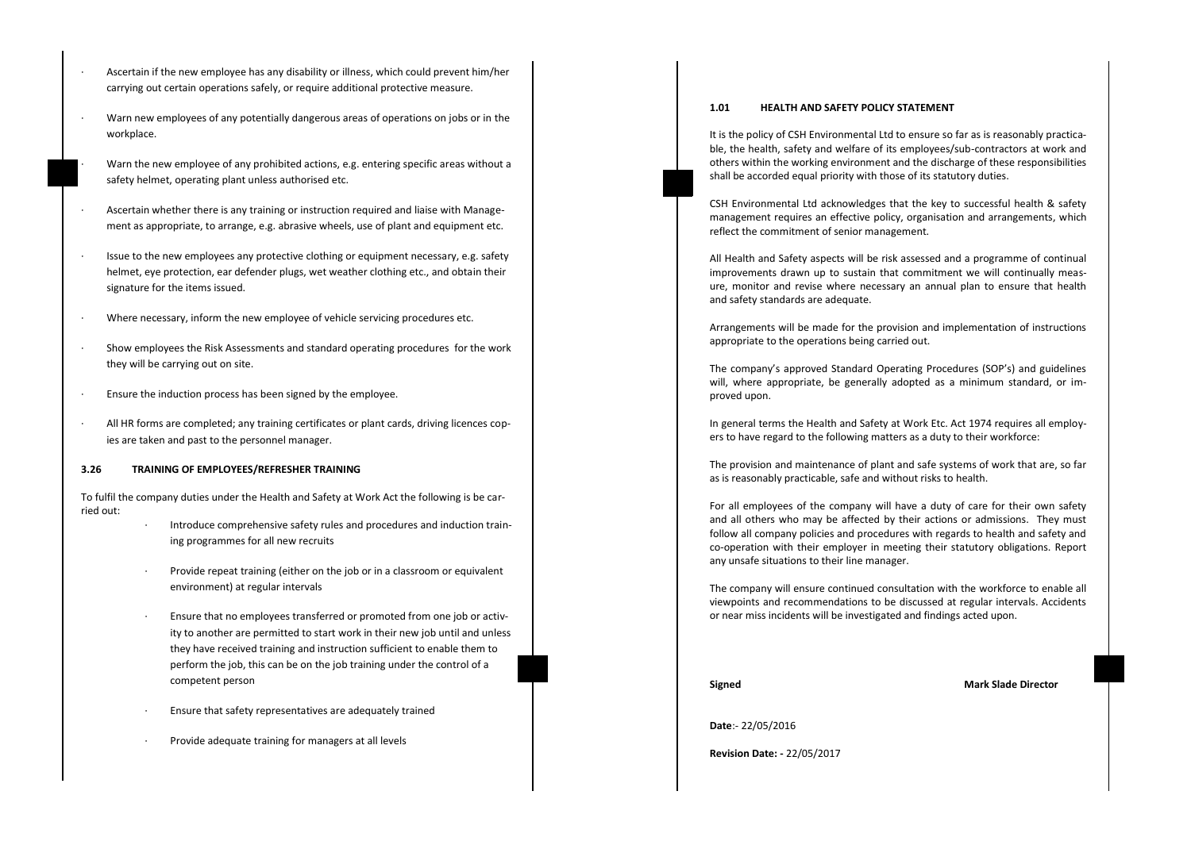- · Ascertain if the new employee has any disability or illness, which could prevent him/her carrying out certain operations safely, or require additional protective measure.
- Warn new employees of any potentially dangerous areas of operations on jobs or in the workplace.
- · Warn the new employee of any prohibited actions, e.g. entering specific areas without a safety helmet, operating plant unless authorised etc.
- · Ascertain whether there is any training or instruction required and liaise with Management as appropriate, to arrange, e.g. abrasive wheels, use of plant and equipment etc.
- Issue to the new employees any protective clothing or equipment necessary, e.g. safety helmet, eye protection, ear defender plugs, wet weather clothing etc., and obtain their signature for the items issued.
- Where necessary, inform the new employee of vehicle servicing procedures etc.
- · Show employees the Risk Assessments and standard operating procedures for the work they will be carrying out on site.
- Ensure the induction process has been signed by the employee.
- All HR forms are completed; any training certificates or plant cards, driving licences copies are taken and past to the personnel manager.

## **3.26 TRAINING OF EMPLOYEES/REFRESHER TRAINING**

To fulfil the company duties under the Health and Safety at Work Act the following is be carried out:

- Introduce comprehensive safety rules and procedures and induction training programmes for all new recruits
- Provide repeat training (either on the job or in a classroom or equivalent environment) at regular intervals
- Ensure that no employees transferred or promoted from one job or activity to another are permitted to start work in their new job until and unless they have received training and instruction sufficient to enable them to perform the job, this can be on the job training under the control of a competent person
- Ensure that safety representatives are adequately trained
- Provide adequate training for managers at all levels

#### **1.01 HEALTH AND SAFETY POLICY STATEMENT**

It is the policy of CSH Environmental Ltd to ensure so far as is reasonably practicable, the health, safety and welfare of its employees/sub-contractors at work and others within the working environment and the discharge of these responsibilities shall be accorded equal priority with those of its statutory duties.

CSH Environmental Ltd acknowledges that the key to successful health & safety management requires an effective policy, organisation and arrangements, which reflect the commitment of senior management.

All Health and Safety aspects will be risk assessed and a programme of continual improvements drawn up to sustain that commitment we will continually measure, monitor and revise where necessary an annual plan to ensure that health and safety standards are adequate.

Arrangements will be made for the provision and implementation of instructions appropriate to the operations being carried out.

The company's approved Standard Operating Procedures (SOP's) and guidelines will, where appropriate, be generally adopted as a minimum standard, or improved upon.

In general terms the Health and Safety at Work Etc. Act 1974 requires all employers to have regard to the following matters as a duty to their workforce:

The provision and maintenance of plant and safe systems of work that are, so far as is reasonably practicable, safe and without risks to health.

For all employees of the company will have a duty of care for their own safety and all others who may be affected by their actions or admissions. They must follow all company policies and procedures with regards to health and safety and co-operation with their employer in meeting their statutory obligations. Report any unsafe situations to their line manager.

The company will ensure continued consultation with the workforce to enable all viewpoints and recommendations to be discussed at regular intervals. Accidents or near miss incidents will be investigated and findings acted upon.

**Signed Mark Slade Director**

**Date**:- 22/05/2016

**Revision Date: -** 22/05/2017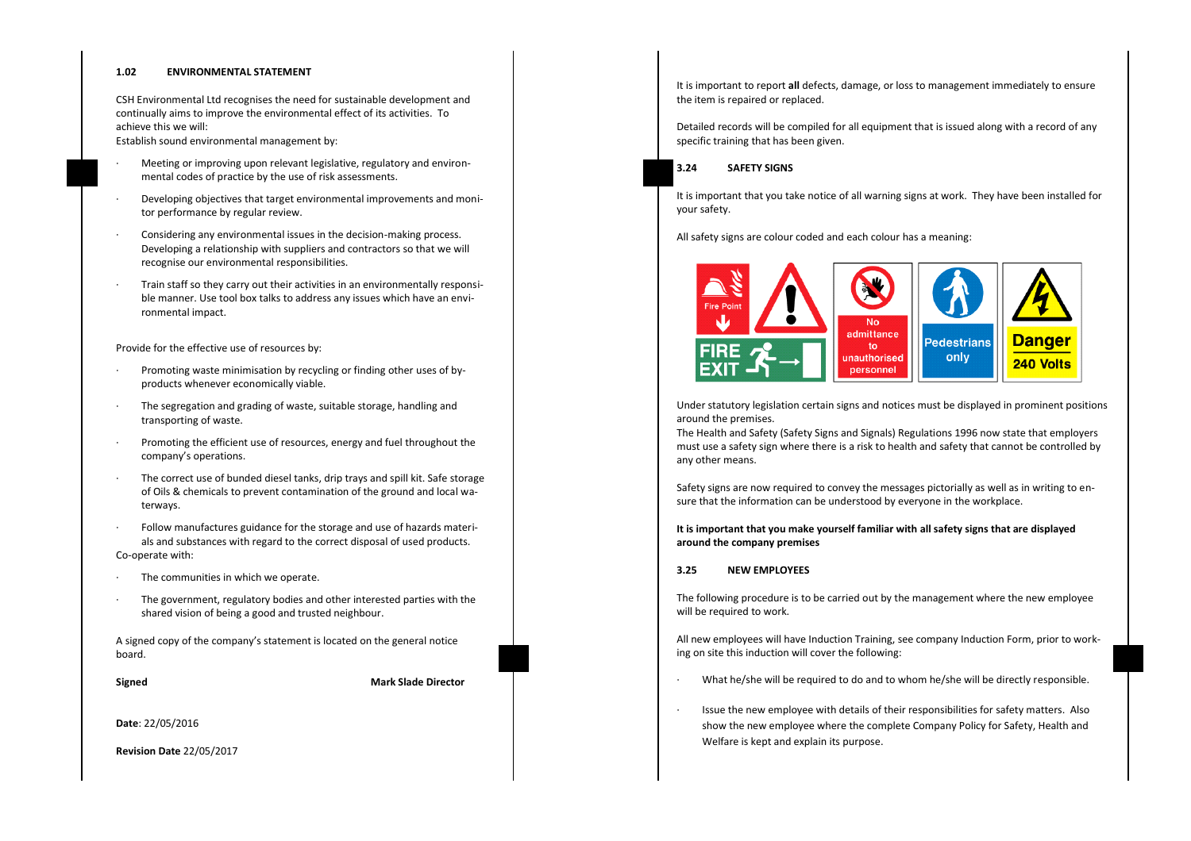#### **1.02 ENVIRONMENTAL STATEMENT**

CSH Environmental Ltd recognises the need for sustainable development and continually aims to improve the environmental effect of its activities. To achieve this we will:

Establish sound environmental management by:

- Meeting or improving upon relevant legislative, regulatory and environmental codes of practice by the use of risk assessments.
- · Developing objectives that target environmental improvements and monitor performance by regular review.
- Considering any environmental issues in the decision-making process. Developing a relationship with suppliers and contractors so that we will recognise our environmental responsibilities.
- Train staff so they carry out their activities in an environmentally responsible manner. Use tool box talks to address any issues which have an environmental impact.

Provide for the effective use of resources by:

- Promoting waste minimisation by recycling or finding other uses of byproducts whenever economically viable.
- The segregation and grading of waste, suitable storage, handling and transporting of waste.
- · Promoting the efficient use of resources, energy and fuel throughout the company's operations.
- The correct use of bunded diesel tanks, drip trays and spill kit. Safe storage of Oils & chemicals to prevent contamination of the ground and local waterways.
- · Follow manufactures guidance for the storage and use of hazards materials and substances with regard to the correct disposal of used products. Co-operate with:
- · The communities in which we operate.
- · The government, regulatory bodies and other interested parties with the shared vision of being a good and trusted neighbour.

A signed copy of the company's statement is located on the general notice board.

**Signed Mark Slade Director**

**Date**: 22/05/2016

**Revision Date** 22/05/2017

It is important to report **all** defects, damage, or loss to management immediately to ensure the item is repaired or replaced.

Detailed records will be compiled for all equipment that is issued along with a record of any specific training that has been given.



It is important that you take notice of all warning signs at work. They have been installed for your safety.

All safety signs are colour coded and each colour has a meaning:



Under statutory legislation certain signs and notices must be displayed in prominent positions around the premises.

The Health and Safety (Safety Signs and Signals) Regulations 1996 now state that employers must use a safety sign where there is a risk to health and safety that cannot be controlled by any other means.

Safety signs are now required to convey the messages pictorially as well as in writing to ensure that the information can be understood by everyone in the workplace.

**It is important that you make yourself familiar with all safety signs that are displayed around the company premises**

## **3.25 NEW EMPLOYEES**

The following procedure is to be carried out by the management where the new employee will be required to work.

All new employees will have Induction Training, see company Induction Form, prior to working on site this induction will cover the following:

- What he/she will be required to do and to whom he/she will be directly responsible.
- · Issue the new employee with details of their responsibilities for safety matters. Also show the new employee where the complete Company Policy for Safety, Health and Welfare is kept and explain its purpose.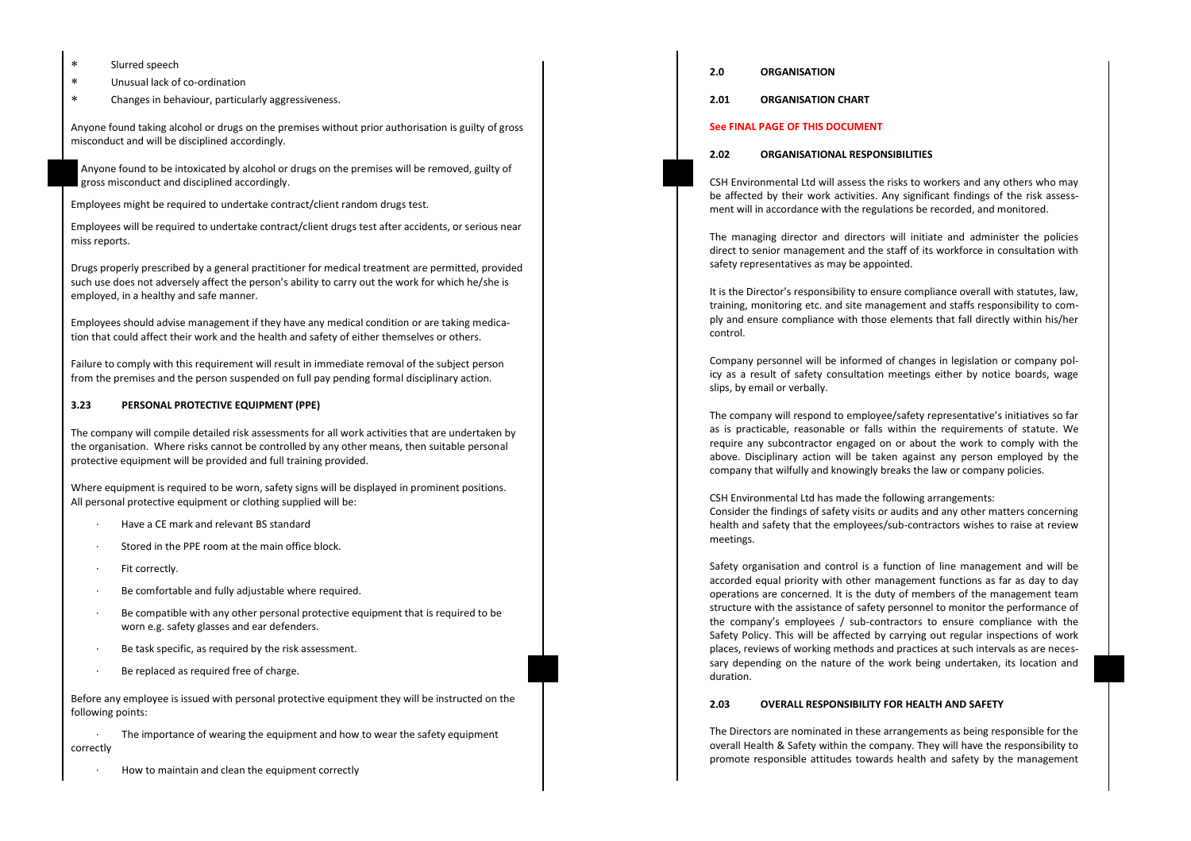- Slurred speech
- Unusual lack of co-ordination
- Changes in behaviour, particularly aggressiveness.

Anyone found taking alcohol or drugs on the premises without prior authorisation is guilty of gross misconduct and will be disciplined accordingly.

Anyone found to be intoxicated by alcohol or drugs on the premises will be removed, guilty of gross misconduct and disciplined accordingly.

Employees might be required to undertake contract/client random drugs test.

Employees will be required to undertake contract/client drugs test after accidents, or serious near miss reports.

Drugs properly prescribed by a general practitioner for medical treatment are permitted, provided such use does not adversely affect the person's ability to carry out the work for which he/she is employed, in a healthy and safe manner.

Employees should advise management if they have any medical condition or are taking medication that could affect their work and the health and safety of either themselves or others.

Failure to comply with this requirement will result in immediate removal of the subject person from the premises and the person suspended on full pay pending formal disciplinary action.

## **3.23 PERSONAL PROTECTIVE EQUIPMENT (PPE)**

The company will compile detailed risk assessments for all work activities that are undertaken by the organisation. Where risks cannot be controlled by any other means, then suitable personal protective equipment will be provided and full training provided.

Where equipment is required to be worn, safety signs will be displayed in prominent positions. All personal protective equipment or clothing supplied will be:

- · Have a CE mark and relevant BS standard
- Stored in the PPE room at the main office block.
- Fit correctly.
- Be comfortable and fully adjustable where required.
- Be compatible with any other personal protective equipment that is required to be worn e.g. safety glasses and ear defenders.
- Be task specific, as required by the risk assessment.
- Be replaced as required free of charge.

Before any employee is issued with personal protective equipment they will be instructed on the following points:

The importance of wearing the equipment and how to wear the safety equipment correctly

How to maintain and clean the equipment correctly

**2.0 ORGANISATION**

**2.01 ORGANISATION CHART**

## **See FINAL PAGE OF THIS DOCUMENT**

#### **2.02 ORGANISATIONAL RESPONSIBILITIES**

CSH Environmental Ltd will assess the risks to workers and any others who may be affected by their work activities. Any significant findings of the risk assessment will in accordance with the regulations be recorded, and monitored.

The managing director and directors will initiate and administer the policies direct to senior management and the staff of its workforce in consultation with safety representatives as may be appointed.

It is the Director's responsibility to ensure compliance overall with statutes, law, training, monitoring etc. and site management and staffs responsibility to comply and ensure compliance with those elements that fall directly within his/her control.

Company personnel will be informed of changes in legislation or company policy as a result of safety consultation meetings either by notice boards, wage slips, by email or verbally.

The company will respond to employee/safety representative's initiatives so far as is practicable, reasonable or falls within the requirements of statute. We require any subcontractor engaged on or about the work to comply with the above. Disciplinary action will be taken against any person employed by the company that wilfully and knowingly breaks the law or company policies.

CSH Environmental Ltd has made the following arrangements: Consider the findings of safety visits or audits and any other matters concerning health and safety that the employees/sub-contractors wishes to raise at review meetings.

Safety organisation and control is a function of line management and will be accorded equal priority with other management functions as far as day to day operations are concerned. It is the duty of members of the management team structure with the assistance of safety personnel to monitor the performance of the company's employees / sub-contractors to ensure compliance with the Safety Policy. This will be affected by carrying out regular inspections of work places, reviews of working methods and practices at such intervals as are necessary depending on the nature of the work being undertaken, its location and duration.

#### **2.03 OVERALL RESPONSIBILITY FOR HEALTH AND SAFETY**

The Directors are nominated in these arrangements as being responsible for the overall Health & Safety within the company. They will have the responsibility to promote responsible attitudes towards health and safety by the management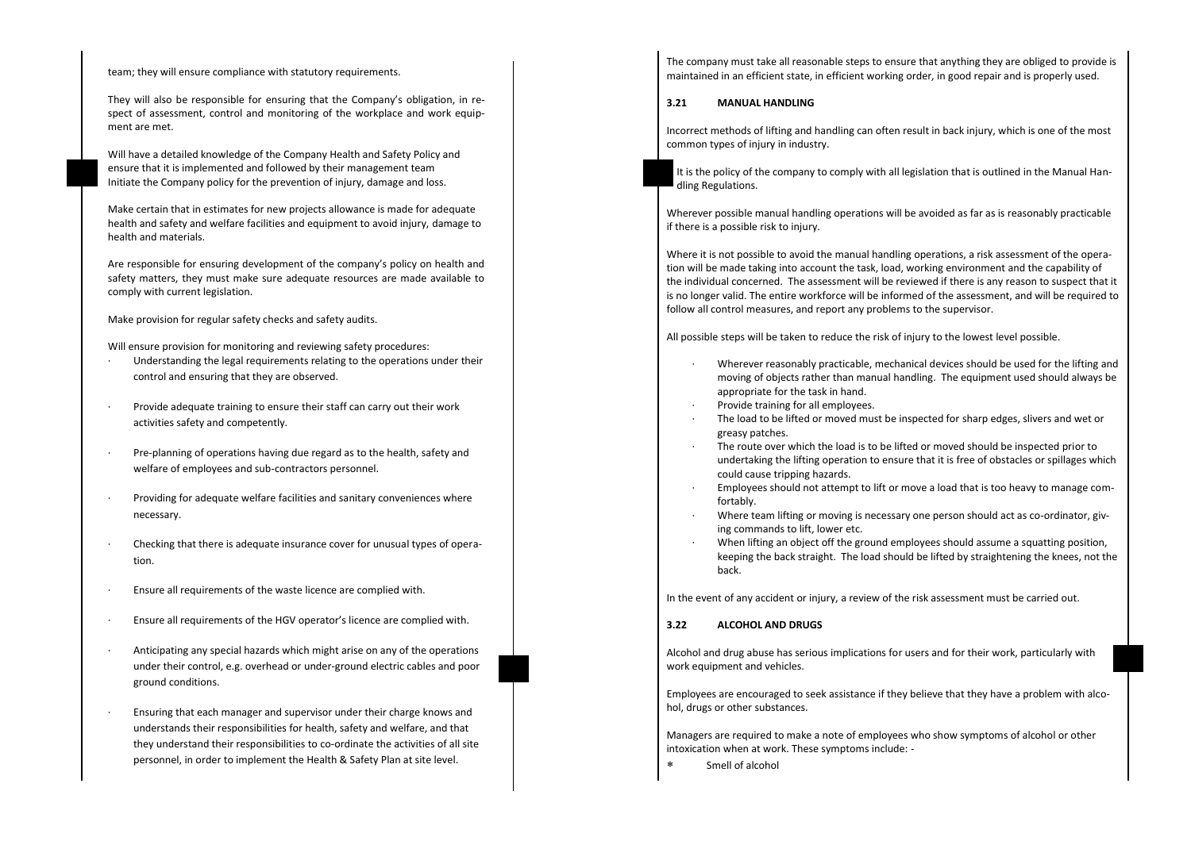team; they will ensure compliance with statutory requirements.

They will also be responsible for ensuring that the Company's obligation, in respect of assessment, control and monitoring of the workplace and work equipment are met.

Will have a detailed knowledge of the Company Health and Safety Policy and ensure that it is implemented and followed by their management team Initiate the Company policy for the prevention of injury, damage and loss.

Make certain that in estimates for new projects allowance is made for adequate health and safety and welfare facilities and equipment to avoid injury, damage to health and materials.

Are responsible for ensuring development of the company's policy on health and safety matters, they must make sure adequate resources are made available to comply with current legislation.

Make provision for regular safety checks and safety audits.

Will ensure provision for monitoring and reviewing safety procedures:

- · Understanding the legal requirements relating to the operations under their control and ensuring that they are observed.
- · Provide adequate training to ensure their staff can carry out their work activities safety and competently.
- Pre-planning of operations having due regard as to the health, safety and welfare of employees and sub-contractors personnel.
- · Providing for adequate welfare facilities and sanitary conveniences where necessary.
- · Checking that there is adequate insurance cover for unusual types of operation.
- · Ensure all requirements of the waste licence are complied with.
- · Ensure all requirements of the HGV operator's licence are complied with.
- · Anticipating any special hazards which might arise on any of the operations under their control, e.g. overhead or under-ground electric cables and poor ground conditions.
- · Ensuring that each manager and supervisor under their charge knows and understands their responsibilities for health, safety and welfare, and that they understand their responsibilities to co-ordinate the activities of all site personnel, in order to implement the Health & Safety Plan at site level.

The company must take all reasonable steps to ensure that anything they are obliged to provide is maintained in an efficient state, in efficient working order, in good repair and is properly used.

#### **3.21 MANUAL HANDLING**

Incorrect methods of lifting and handling can often result in back injury, which is one of the most common types of injury in industry.

It is the policy of the company to comply with all legislation that is outlined in the Manual Handling Regulations.

Wherever possible manual handling operations will be avoided as far as is reasonably practicable if there is a possible risk to injury.

Where it is not possible to avoid the manual handling operations, a risk assessment of the operation will be made taking into account the task, load, working environment and the capability of the individual concerned. The assessment will be reviewed if there is any reason to suspect that it is no longer valid. The entire workforce will be informed of the assessment, and will be required to follow all control measures, and report any problems to the supervisor.

All possible steps will be taken to reduce the risk of injury to the lowest level possible.

- · Wherever reasonably practicable, mechanical devices should be used for the lifting and moving of objects rather than manual handling. The equipment used should always be appropriate for the task in hand.
- · Provide training for all employees.
- · The load to be lifted or moved must be inspected for sharp edges, slivers and wet or greasy patches.
- · The route over which the load is to be lifted or moved should be inspected prior to undertaking the lifting operation to ensure that it is free of obstacles or spillages which could cause tripping hazards.
- · Employees should not attempt to lift or move a load that is too heavy to manage comfortably.
- · Where team lifting or moving is necessary one person should act as co-ordinator, giving commands to lift, lower etc.
- · When lifting an object off the ground employees should assume a squatting position, keeping the back straight. The load should be lifted by straightening the knees, not the back.

In the event of any accident or injury, a review of the risk assessment must be carried out.

#### **3.22 ALCOHOL AND DRUGS**

Alcohol and drug abuse has serious implications for users and for their work, particularly with work equipment and vehicles.

Employees are encouraged to seek assistance if they believe that they have a problem with alcohol, drugs or other substances.

Managers are required to make a note of employees who show symptoms of alcohol or other intoxication when at work. These symptoms include: -

Smell of alcohol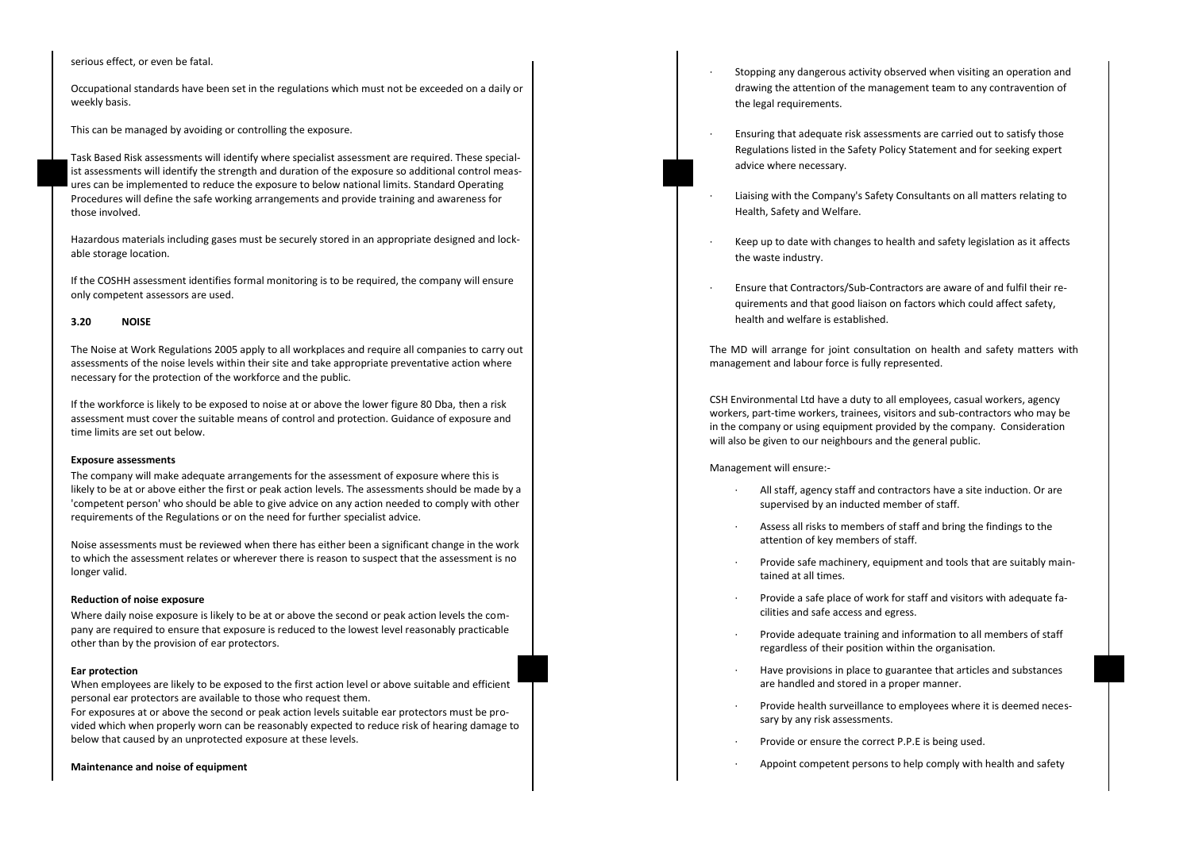#### serious effect, or even be fatal.

Occupational standards have been set in the regulations which must not be exceeded on a daily or weekly basis.

This can be managed by avoiding or controlling the exposure.

Task Based Risk assessments will identify where specialist assessment are required. These specialist assessments will identify the strength and duration of the exposure so additional control measures can be implemented to reduce the exposure to below national limits. Standard Operating Procedures will define the safe working arrangements and provide training and awareness for those involved.

Hazardous materials including gases must be securely stored in an appropriate designed and lockable storage location.

If the COSHH assessment identifies formal monitoring is to be required, the company will ensure only competent assessors are used.

#### **3.20 NOISE**

The Noise at Work Regulations 2005 apply to all workplaces and require all companies to carry out assessments of the noise levels within their site and take appropriate preventative action where necessary for the protection of the workforce and the public.

If the workforce is likely to be exposed to noise at or above the lower figure 80 Dba, then a risk assessment must cover the suitable means of control and protection. Guidance of exposure and time limits are set out below.

#### **Exposure assessments**

The company will make adequate arrangements for the assessment of exposure where this is likely to be at or above either the first or peak action levels. The assessments should be made by a 'competent person' who should be able to give advice on any action needed to comply with other requirements of the Regulations or on the need for further specialist advice.

Noise assessments must be reviewed when there has either been a significant change in the work to which the assessment relates or wherever there is reason to suspect that the assessment is no longer valid.

#### **Reduction of noise exposure**

Where daily noise exposure is likely to be at or above the second or peak action levels the company are required to ensure that exposure is reduced to the lowest level reasonably practicable other than by the provision of ear protectors.

#### **Ear protection**

When employees are likely to be exposed to the first action level or above suitable and efficient personal ear protectors are available to those who request them.

For exposures at or above the second or peak action levels suitable ear protectors must be provided which when properly worn can be reasonably expected to reduce risk of hearing damage to below that caused by an unprotected exposure at these levels.

#### **Maintenance and noise of equipment**

- Stopping any dangerous activity observed when visiting an operation and drawing the attention of the management team to any contravention of the legal requirements.
- · Ensuring that adequate risk assessments are carried out to satisfy those Regulations listed in the Safety Policy Statement and for seeking expert advice where necessary.
- Liaising with the Company's Safety Consultants on all matters relating to Health, Safety and Welfare.
- Keep up to date with changes to health and safety legislation as it affects the waste industry.
- · Ensure that Contractors/Sub-Contractors are aware of and fulfil their requirements and that good liaison on factors which could affect safety, health and welfare is established.

The MD will arrange for joint consultation on health and safety matters with management and labour force is fully represented.

CSH Environmental Ltd have a duty to all employees, casual workers, agency workers, part-time workers, trainees, visitors and sub-contractors who may be in the company or using equipment provided by the company. Consideration will also be given to our neighbours and the general public.

Management will ensure:-

- All staff, agency staff and contractors have a site induction. Or are supervised by an inducted member of staff.
- Assess all risks to members of staff and bring the findings to the attention of key members of staff.
- · Provide safe machinery, equipment and tools that are suitably maintained at all times.
- · Provide a safe place of work for staff and visitors with adequate facilities and safe access and egress.
- Provide adequate training and information to all members of staff regardless of their position within the organisation.
- · Have provisions in place to guarantee that articles and substances are handled and stored in a proper manner.
- Provide health surveillance to employees where it is deemed necessary by any risk assessments.
- Provide or ensure the correct P.P.E is being used.
- Appoint competent persons to help comply with health and safety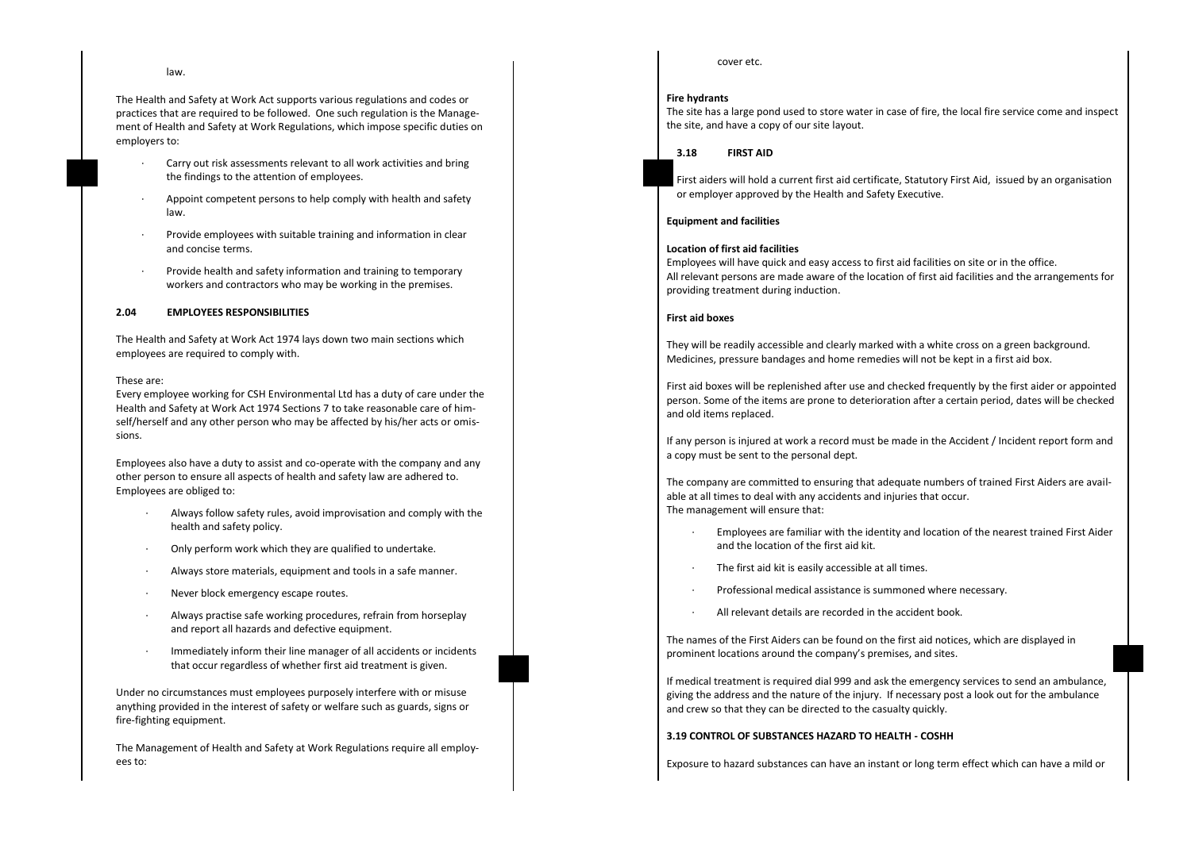law.

The Health and Safety at Work Act supports various regulations and codes or practices that are required to be followed. One such regulation is the Management of Health and Safety at Work Regulations, which impose specific duties on employers to:

- Carry out risk assessments relevant to all work activities and bring the findings to the attention of employees.
- Appoint competent persons to help comply with health and safety law.
- Provide employees with suitable training and information in clear and concise terms.
- Provide health and safety information and training to temporary workers and contractors who may be working in the premises.

## **2.04 EMPLOYEES RESPONSIBILITIES**

The Health and Safety at Work Act 1974 lays down two main sections which employees are required to comply with.

#### These are:

Every employee working for CSH Environmental Ltd has a duty of care under the Health and Safety at Work Act 1974 Sections 7 to take reasonable care of himself/herself and any other person who may be affected by his/her acts or omissions.

Employees also have a duty to assist and co-operate with the company and any other person to ensure all aspects of health and safety law are adhered to. Employees are obliged to:

- Always follow safety rules, avoid improvisation and comply with the health and safety policy.
- · Only perform work which they are qualified to undertake.
- Always store materials, equipment and tools in a safe manner.
- Never block emergency escape routes.
- · Always practise safe working procedures, refrain from horseplay and report all hazards and defective equipment.
- Immediately inform their line manager of all accidents or incidents that occur regardless of whether first aid treatment is given.

Under no circumstances must employees purposely interfere with or misuse anything provided in the interest of safety or welfare such as guards, signs or fire-fighting equipment.

The Management of Health and Safety at Work Regulations require all employees to:

#### cover etc.

#### **Fire hydrants**

The site has a large pond used to store water in case of fire, the local fire service come and inspect the site, and have a copy of our site layout.

## **3.18 FIRST AID**

First aiders will hold a current first aid certificate, Statutory First Aid, issued by an organisation or employer approved by the Health and Safety Executive.

## **Equipment and facilities**

#### **Location of first aid facilities**

Employees will have quick and easy access to first aid facilities on site or in the office. All relevant persons are made aware of the location of first aid facilities and the arrangements for providing treatment during induction.

#### **First aid boxes**

They will be readily accessible and clearly marked with a white cross on a green background. Medicines, pressure bandages and home remedies will not be kept in a first aid box.

First aid boxes will be replenished after use and checked frequently by the first aider or appointed person. Some of the items are prone to deterioration after a certain period, dates will be checked and old items replaced.

If any person is injured at work a record must be made in the Accident / Incident report form and a copy must be sent to the personal dept.

The company are committed to ensuring that adequate numbers of trained First Aiders are available at all times to deal with any accidents and injuries that occur. The management will ensure that:

- · Employees are familiar with the identity and location of the nearest trained First Aider and the location of the first aid kit.
- · The first aid kit is easily accessible at all times.
- · Professional medical assistance is summoned where necessary.
- All relevant details are recorded in the accident book.

The names of the First Aiders can be found on the first aid notices, which are displayed in prominent locations around the company's premises, and sites.

If medical treatment is required dial 999 and ask the emergency services to send an ambulance, giving the address and the nature of the injury. If necessary post a look out for the ambulance and crew so that they can be directed to the casualty quickly.

## **3.19 CONTROL OF SUBSTANCES HAZARD TO HEALTH - COSHH**

Exposure to hazard substances can have an instant or long term effect which can have a mild or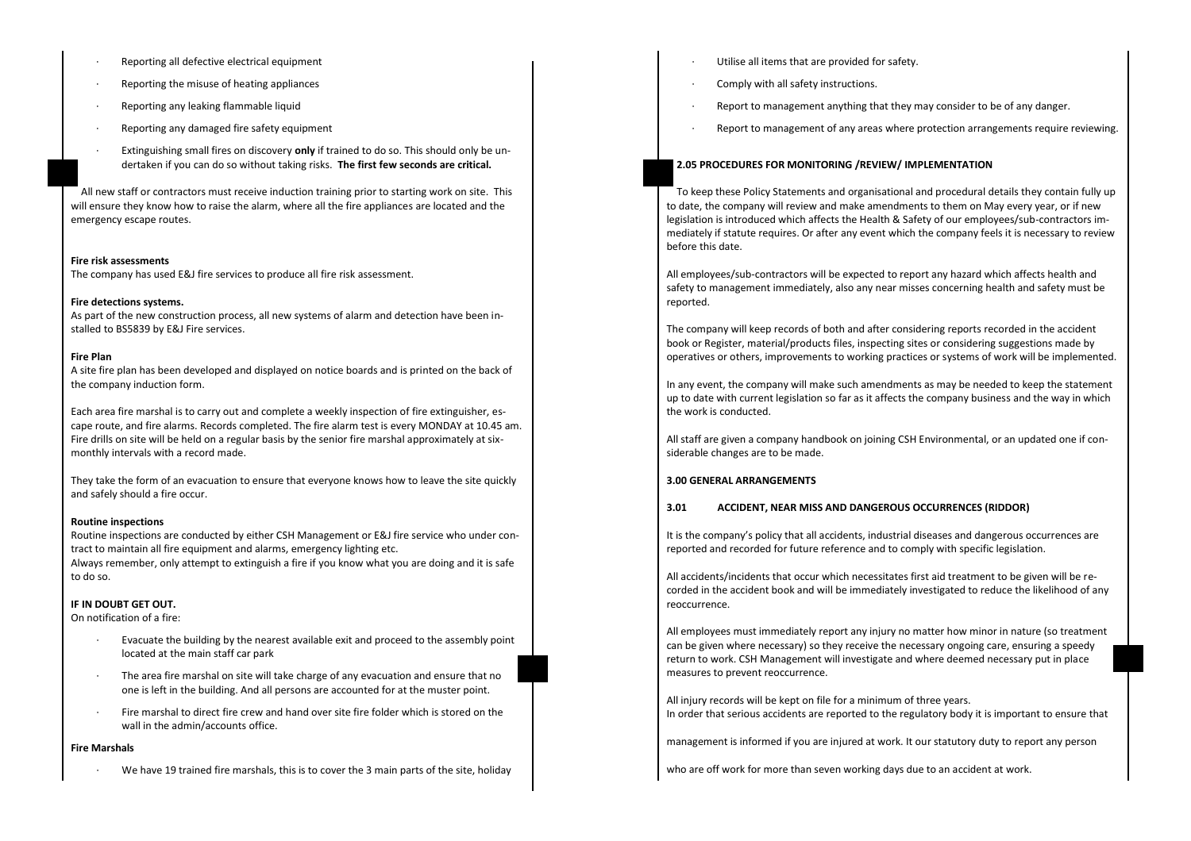- Reporting all defective electrical equipment
- · Reporting the misuse of heating appliances
- · Reporting any leaking flammable liquid
- · Reporting any damaged fire safety equipment
- · Extinguishing small fires on discovery **only** if trained to do so. This should only be undertaken if you can do so without taking risks. **The first few seconds are critical.**

All new staff or contractors must receive induction training prior to starting work on site. This will ensure they know how to raise the alarm, where all the fire appliances are located and the emergency escape routes.

#### **Fire risk assessments**

The company has used E&J fire services to produce all fire risk assessment.

#### **Fire detections systems.**

As part of the new construction process, all new systems of alarm and detection have been installed to BS5839 by E&J Fire services.

## **Fire Plan**

A site fire plan has been developed and displayed on notice boards and is printed on the back of the company induction form.

Each area fire marshal is to carry out and complete a weekly inspection of fire extinguisher, escape route, and fire alarms. Records completed. The fire alarm test is every MONDAY at 10.45 am. Fire drills on site will be held on a regular basis by the senior fire marshal approximately at sixmonthly intervals with a record made.

They take the form of an evacuation to ensure that everyone knows how to leave the site quickly and safely should a fire occur.

## **Routine inspections**

Routine inspections are conducted by either CSH Management or E&J fire service who under contract to maintain all fire equipment and alarms, emergency lighting etc.

Always remember, only attempt to extinguish a fire if you know what you are doing and it is safe to do so.

## **IF IN DOUBT GET OUT.**

On notification of a fire:

- · Evacuate the building by the nearest available exit and proceed to the assembly point located at the main staff car park
- The area fire marshal on site will take charge of any evacuation and ensure that no one is left in the building. And all persons are accounted for at the muster point.
- · Fire marshal to direct fire crew and hand over site fire folder which is stored on the wall in the admin/accounts office.

## **Fire Marshals**

· We have 19 trained fire marshals, this is to cover the 3 main parts of the site, holiday

- Utilise all items that are provided for safety.
- · Comply with all safety instructions.
- · Report to management anything that they may consider to be of any danger.
- · Report to management of any areas where protection arrangements require reviewing.

## **2.05 PROCEDURES FOR MONITORING /REVIEW/ IMPLEMENTATION**

To keep these Policy Statements and organisational and procedural details they contain fully up to date, the company will review and make amendments to them on May every year, or if new legislation is introduced which affects the Health & Safety of our employees/sub-contractors immediately if statute requires. Or after any event which the company feels it is necessary to review before this date.

All employees/sub-contractors will be expected to report any hazard which affects health and safety to management immediately, also any near misses concerning health and safety must be reported.

The company will keep records of both and after considering reports recorded in the accident book or Register, material/products files, inspecting sites or considering suggestions made by operatives or others, improvements to working practices or systems of work will be implemented.

In any event, the company will make such amendments as may be needed to keep the statement up to date with current legislation so far as it affects the company business and the way in which the work is conducted.

All staff are given a company handbook on joining CSH Environmental, or an updated one if considerable changes are to be made.

## **3.00 GENERAL ARRANGEMENTS**

## **3.01 ACCIDENT, NEAR MISS AND DANGEROUS OCCURRENCES (RIDDOR)**

It is the company's policy that all accidents, industrial diseases and dangerous occurrences are reported and recorded for future reference and to comply with specific legislation.

All accidents/incidents that occur which necessitates first aid treatment to be given will be recorded in the accident book and will be immediately investigated to reduce the likelihood of any reoccurrence.

All employees must immediately report any injury no matter how minor in nature (so treatment can be given where necessary) so they receive the necessary ongoing care, ensuring a speedy return to work. CSH Management will investigate and where deemed necessary put in place measures to prevent reoccurrence.

All injury records will be kept on file for a minimum of three years. In order that serious accidents are reported to the regulatory body it is important to ensure that

management is informed if you are injured at work. It our statutory duty to report any person

who are off work for more than seven working days due to an accident at work.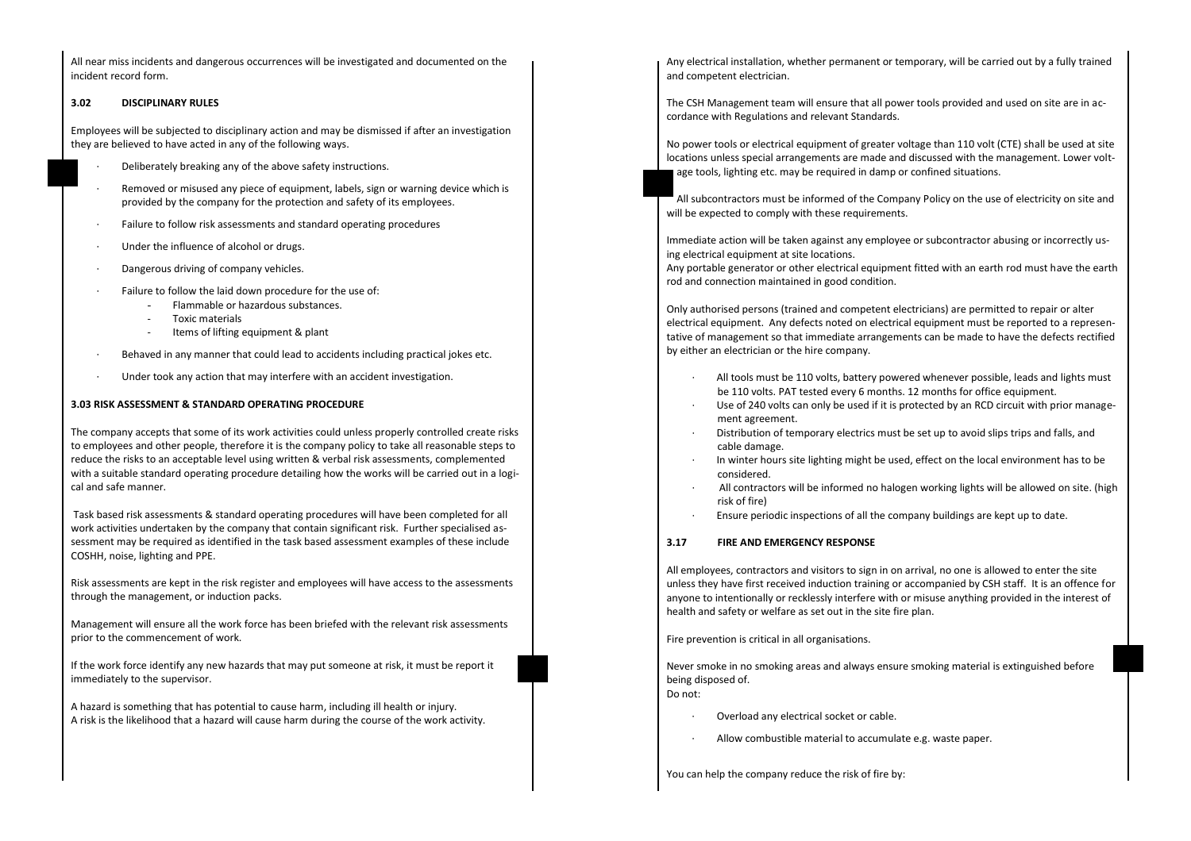All near miss incidents and dangerous occurrences will be investigated and documented on the incident record form.

#### **3.02 DISCIPLINARY RULES**

Employees will be subjected to disciplinary action and may be dismissed if after an investigation they are believed to have acted in any of the following ways.

- Deliberately breaking any of the above safety instructions.
- Removed or misused any piece of equipment, labels, sign or warning device which is provided by the company for the protection and safety of its employees.
- Failure to follow risk assessments and standard operating procedures
- Under the influence of alcohol or drugs.
- · Dangerous driving of company vehicles.
- Failure to follow the laid down procedure for the use of:
	- Flammable or hazardous substances.
	- Toxic materials
	- Items of lifting equipment & plant
- Behaved in any manner that could lead to accidents including practical jokes etc.
- Under took any action that may interfere with an accident investigation.

#### **3.03 RISK ASSESSMENT & STANDARD OPERATING PROCEDURE**

The company accepts that some of its work activities could unless properly controlled create risks to employees and other people, therefore it is the company policy to take all reasonable steps to reduce the risks to an acceptable level using written & verbal risk assessments, complemented with a suitable standard operating procedure detailing how the works will be carried out in a logical and safe manner.

Task based risk assessments & standard operating procedures will have been completed for all work activities undertaken by the company that contain significant risk. Further specialised assessment may be required as identified in the task based assessment examples of these include COSHH, noise, lighting and PPE.

Risk assessments are kept in the risk register and employees will have access to the assessments through the management, or induction packs.

Management will ensure all the work force has been briefed with the relevant risk assessments prior to the commencement of work.

If the work force identify any new hazards that may put someone at risk, it must be report it immediately to the supervisor.

A hazard is something that has potential to cause harm, including ill health or injury. A risk is the likelihood that a hazard will cause harm during the course of the work activity. Any electrical installation, whether permanent or temporary, will be carried out by a fully trained and competent electrician.

The CSH Management team will ensure that all power tools provided and used on site are in accordance with Regulations and relevant Standards.

No power tools or electrical equipment of greater voltage than 110 volt (CTE) shall be used at site locations unless special arrangements are made and discussed with the management. Lower voltage tools, lighting etc. may be required in damp or confined situations.

All subcontractors must be informed of the Company Policy on the use of electricity on site and will be expected to comply with these requirements.

Immediate action will be taken against any employee or subcontractor abusing or incorrectly using electrical equipment at site locations.

Any portable generator or other electrical equipment fitted with an earth rod must have the earth rod and connection maintained in good condition.

Only authorised persons (trained and competent electricians) are permitted to repair or alter electrical equipment. Any defects noted on electrical equipment must be reported to a representative of management so that immediate arrangements can be made to have the defects rectified by either an electrician or the hire company.

- All tools must be 110 volts, battery powered whenever possible, leads and lights must be 110 volts. PAT tested every 6 months. 12 months for office equipment.
- · Use of 240 volts can only be used if it is protected by an RCD circuit with prior management agreement.
- · Distribution of temporary electrics must be set up to avoid slips trips and falls, and cable damage.
- · In winter hours site lighting might be used, effect on the local environment has to be considered.
- · All contractors will be informed no halogen working lights will be allowed on site. (high risk of fire)
- · Ensure periodic inspections of all the company buildings are kept up to date.

## **3.17 FIRE AND EMERGENCY RESPONSE**

All employees, contractors and visitors to sign in on arrival, no one is allowed to enter the site unless they have first received induction training or accompanied by CSH staff. It is an offence for anyone to intentionally or recklessly interfere with or misuse anything provided in the interest of health and safety or welfare as set out in the site fire plan.

Fire prevention is critical in all organisations.

Never smoke in no smoking areas and always ensure smoking material is extinguished before being disposed of. Do not:

- Overload any electrical socket or cable.
- Allow combustible material to accumulate e.g. waste paper.

You can help the company reduce the risk of fire by: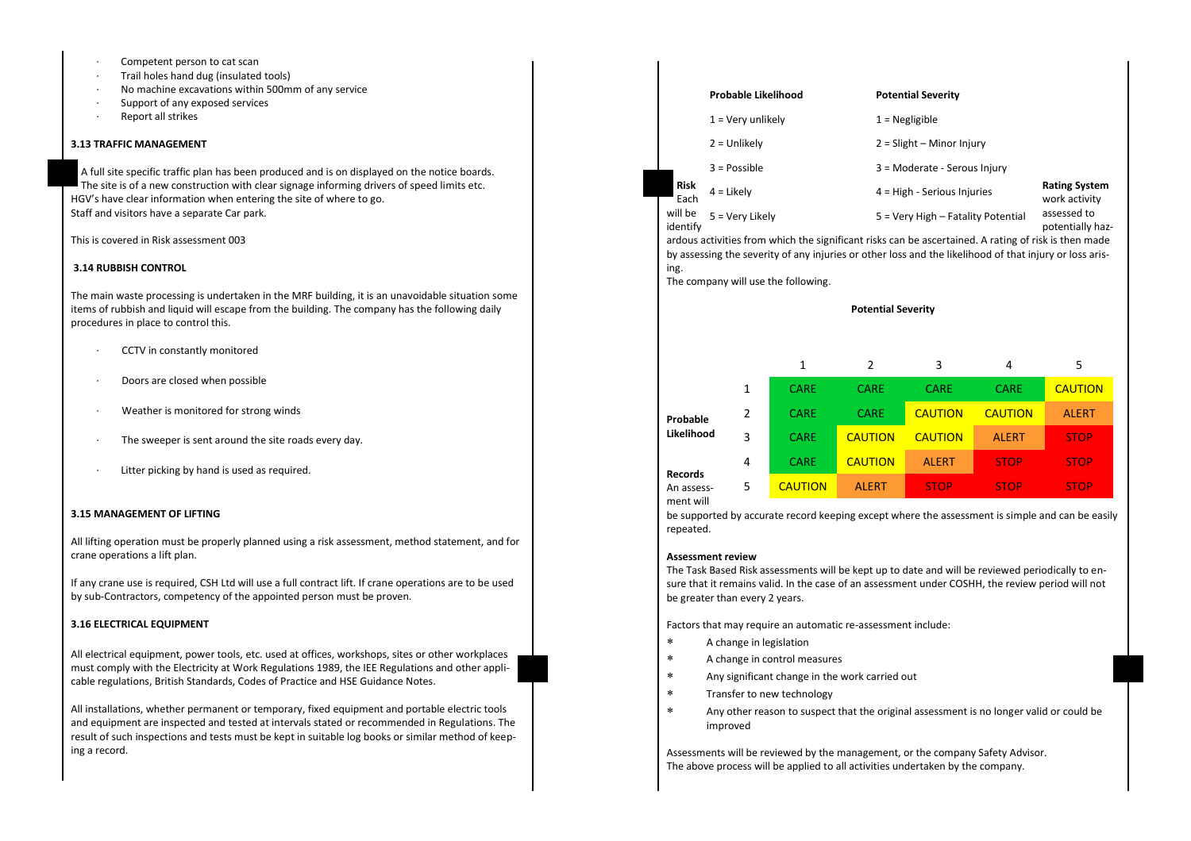- Competent person to cat scan
- · Trail holes hand dug (insulated tools)
- · No machine excavations within 500mm of any service
- Support of any exposed services
- · Report all strikes

## **3.13 TRAFFIC MANAGEMENT**

A full site specific traffic plan has been produced and is on displayed on the notice boards. The site is of a new construction with clear signage informing drivers of speed limits etc. HGV's have clear information when entering the site of where to go. Staff and visitors have a separate Car park.

This is covered in Risk assessment 003

## **3.14 RUBBISH CONTROL**

The main waste processing is undertaken in the MRF building, it is an unavoidable situation some items of rubbish and liquid will escape from the building. The company has the following daily procedures in place to control this.

- CCTV in constantly monitored
- Doors are closed when possible
- Weather is monitored for strong winds
- The sweeper is sent around the site roads every day.
- Litter picking by hand is used as required.

#### **3.15 MANAGEMENT OF LIFTING**

All lifting operation must be properly planned using a risk assessment, method statement, and for crane operations a lift plan.

If any crane use is required, CSH Ltd will use a full contract lift. If crane operations are to be used by sub-Contractors, competency of the appointed person must be proven.

## **3.16 ELECTRICAL EQUIPMENT**

All electrical equipment, power tools, etc. used at offices, workshops, sites or other workplaces must comply with the Electricity at Work Regulations 1989, the IEE Regulations and other applicable regulations, British Standards, Codes of Practice and HSE Guidance Notes.

All installations, whether permanent or temporary, fixed equipment and portable electric tools and equipment are inspected and tested at intervals stated or recommended in Regulations. The result of such inspections and tests must be kept in suitable log books or similar method of keeping a record.

|  |                     | Probable Likelihood                                                                                            | <b>Potential Severity</b>          |                                                                          |  |  |  |
|--|---------------------|----------------------------------------------------------------------------------------------------------------|------------------------------------|--------------------------------------------------------------------------|--|--|--|
|  |                     | $1 =$ Very unlikely                                                                                            | $1 = Negligible$                   |                                                                          |  |  |  |
|  |                     | $2 =$ Unlikely                                                                                                 | $2 =$ Slight – Minor Injury        |                                                                          |  |  |  |
|  |                     | $3 = Possible$                                                                                                 | 3 = Moderate - Serous Injury       |                                                                          |  |  |  |
|  | <b>Risk</b><br>Each | $4 =$ Likely                                                                                                   | $4 = High - Series$ Injuries       | <b>Rating System</b><br>work activity<br>assessed to<br>potentially haz- |  |  |  |
|  | will be<br>identify | 5 = Verv Likelv                                                                                                | 5 = Very High - Fatality Potential |                                                                          |  |  |  |
|  |                     | and and a stillited forms indicted the standflower which was been secured and a matter of while to them we do. |                                    |                                                                          |  |  |  |

ardous activities from which the significant risks can be ascertained. A rating of risk is then made by assessing the severity of any injuries or other loss and the likelihood of that injury or loss arising.

The company will use the following.

# **Potential Severity**

|                              |   | 1              | $\overline{2}$ | 3              | 4              | 5              |
|------------------------------|---|----------------|----------------|----------------|----------------|----------------|
|                              | 1 | <b>CARE</b>    | <b>CARE</b>    | <b>CARE</b>    | <b>CARE</b>    | <b>CAUTION</b> |
| Probable                     | 2 | <b>CARE</b>    | <b>CARE</b>    | <b>CAUTION</b> | <b>CAUTION</b> | <b>ALERT</b>   |
| Likelihood                   | 3 | <b>CARE</b>    | <b>CAUTION</b> | <b>CAUTION</b> | <b>ALERT</b>   | <b>STOP</b>    |
|                              | 4 | <b>CARE</b>    | <b>CAUTION</b> | <b>ALERT</b>   | <b>STOP</b>    | <b>STOP</b>    |
| <b>Records</b><br>An assess- | 5 | <b>CAUTION</b> | <b>ALERT</b>   | <b>STOP</b>    | <b>STOP</b>    | <b>STOP</b>    |
| ment will                    |   |                |                |                |                |                |

be supported by accurate record keeping except where the assessment is simple and can be easily repeated.

## **Assessment review**

The Task Based Risk assessments will be kept up to date and will be reviewed periodically to ensure that it remains valid. In the case of an assessment under COSHH, the review period will not be greater than every 2 years.

Factors that may require an automatic re-assessment include:

- A change in legislation
- A change in control measures
- Any significant change in the work carried out
- Transfer to new technology
- Any other reason to suspect that the original assessment is no longer valid or could be improved

Assessments will be reviewed by the management, or the company Safety Advisor. The above process will be applied to all activities undertaken by the company.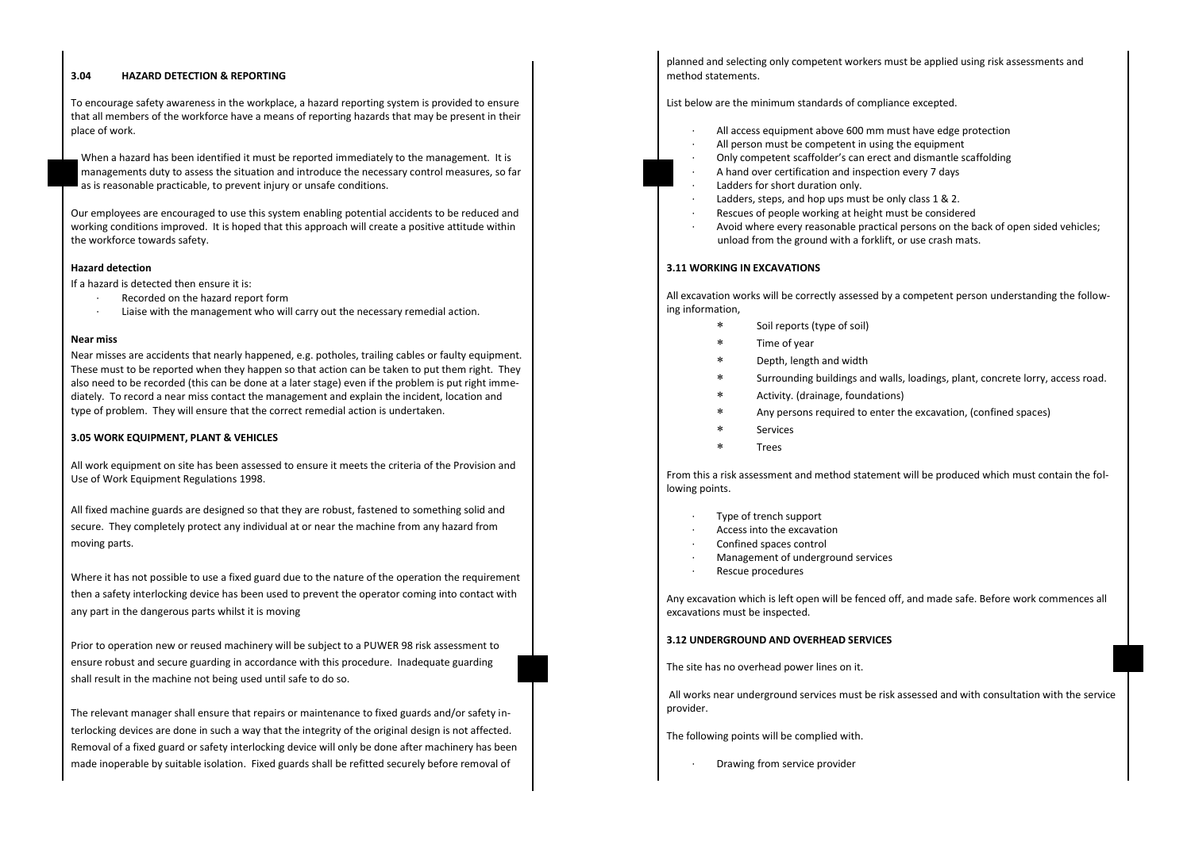## **3.04 HAZARD DETECTION & REPORTING**

To encourage safety awareness in the workplace, a hazard reporting system is provided to ensure that all members of the workforce have a means of reporting hazards that may be present in their place of work.

When a hazard has been identified it must be reported immediately to the management. It is managements duty to assess the situation and introduce the necessary control measures, so far as is reasonable practicable, to prevent injury or unsafe conditions.

Our employees are encouraged to use this system enabling potential accidents to be reduced and working conditions improved. It is hoped that this approach will create a positive attitude within the workforce towards safety.

#### **Hazard detection**

If a hazard is detected then ensure it is:

- · Recorded on the hazard report form
- Liaise with the management who will carry out the necessary remedial action.

#### **Near miss**

Near misses are accidents that nearly happened, e.g. potholes, trailing cables or faulty equipment. These must to be reported when they happen so that action can be taken to put them right. They also need to be recorded (this can be done at a later stage) even if the problem is put right immediately. To record a near miss contact the management and explain the incident, location and type of problem. They will ensure that the correct remedial action is undertaken.

#### **3.05 WORK EQUIPMENT, PLANT & VEHICLES**

All work equipment on site has been assessed to ensure it meets the criteria of the Provision and Use of Work Equipment Regulations 1998.

All fixed machine guards are designed so that they are robust, fastened to something solid and secure. They completely protect any individual at or near the machine from any hazard from moving parts.

Where it has not possible to use a fixed guard due to the nature of the operation the requirement then a safety interlocking device has been used to prevent the operator coming into contact with any part in the dangerous parts whilst it is moving

Prior to operation new or reused machinery will be subject to a PUWER 98 risk assessment to ensure robust and secure guarding in accordance with this procedure. Inadequate guarding shall result in the machine not being used until safe to do so.

The relevant manager shall ensure that repairs or maintenance to fixed guards and/or safety interlocking devices are done in such a way that the integrity of the original design is not affected. Removal of a fixed guard or safety interlocking device will only be done after machinery has been made inoperable by suitable isolation. Fixed guards shall be refitted securely before removal of

planned and selecting only competent workers must be applied using risk assessments and method statements.

List below are the minimum standards of compliance excepted.

- All access equipment above 600 mm must have edge protection
- · All person must be competent in using the equipment
- · Only competent scaffolder's can erect and dismantle scaffolding
- A hand over certification and inspection every 7 days
- Ladders for short duration only.
- · Ladders, steps, and hop ups must be only class 1 & 2.
- Rescues of people working at height must be considered
- · Avoid where every reasonable practical persons on the back of open sided vehicles; unload from the ground with a forklift, or use crash mats.

## **3.11 WORKING IN EXCAVATIONS**

All excavation works will be correctly assessed by a competent person understanding the following information,

- Soil reports (type of soil)
- Time of year
- Depth, length and width
- Surrounding buildings and walls, loadings, plant, concrete lorry, access road.
- Activity. (drainage, foundations)
- Any persons required to enter the excavation, (confined spaces)
- \* Services
- Trees

From this a risk assessment and method statement will be produced which must contain the following points.

- · Type of trench support
- Access into the excavation
- Confined spaces control
- · Management of underground services
- · Rescue procedures

Any excavation which is left open will be fenced off, and made safe. Before work commences all excavations must be inspected.

### **3.12 UNDERGROUND AND OVERHEAD SERVICES**

The site has no overhead power lines on it.

All works near underground services must be risk assessed and with consultation with the service provider.

The following points will be complied with.

· Drawing from service provider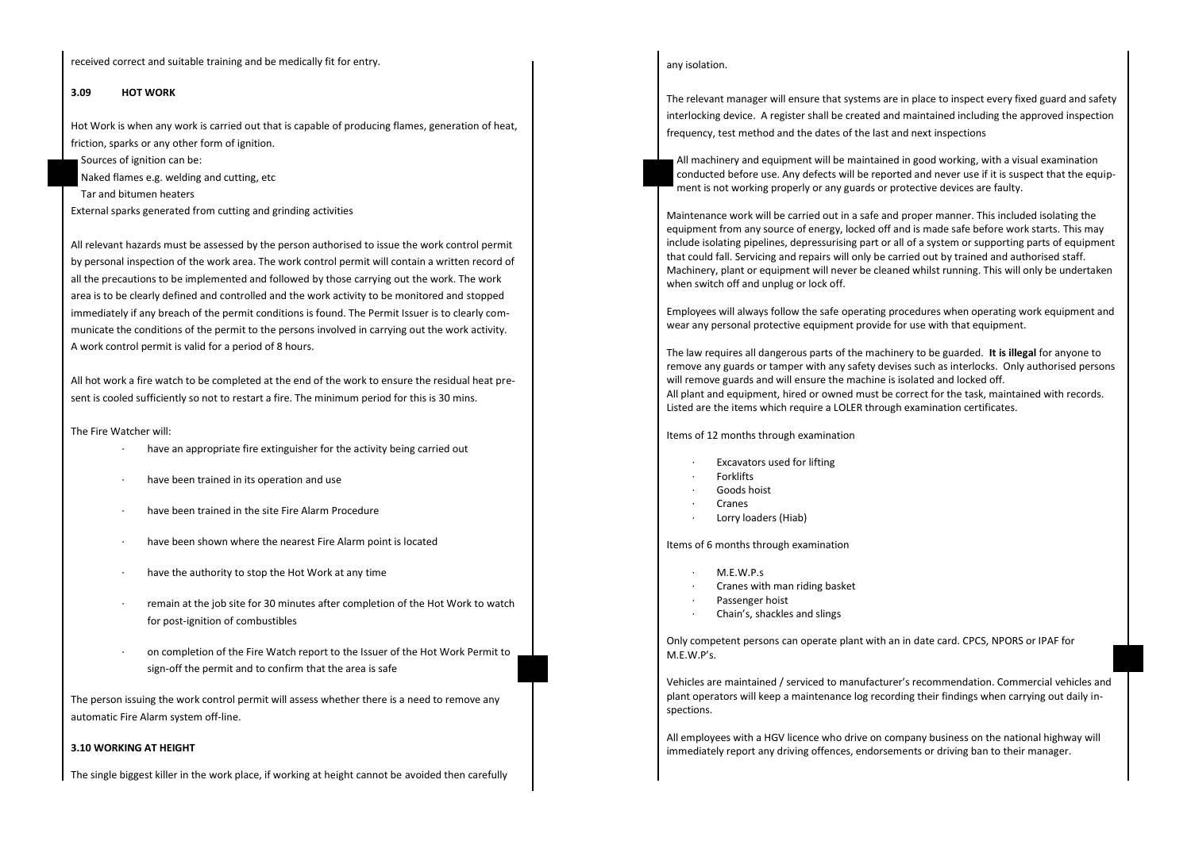received correct and suitable training and be medically fit for entry.

## **3.09 HOT WORK**

Hot Work is when any work is carried out that is capable of producing flames, generation of heat, friction, sparks or any other form of ignition.

Sources of ignition can be:

Naked flames e.g. welding and cutting, etc

Tar and bitumen heaters

External sparks generated from cutting and grinding activities

All relevant hazards must be assessed by the person authorised to issue the work control permit by personal inspection of the work area. The work control permit will contain a written record of all the precautions to be implemented and followed by those carrying out the work. The work area is to be clearly defined and controlled and the work activity to be monitored and stopped immediately if any breach of the permit conditions is found. The Permit Issuer is to clearly communicate the conditions of the permit to the persons involved in carrying out the work activity. A work control permit is valid for a period of 8 hours.

All hot work a fire watch to be completed at the end of the work to ensure the residual heat present is cooled sufficiently so not to restart a fire. The minimum period for this is 30 mins.

#### The Fire Watcher will:

- have an appropriate fire extinguisher for the activity being carried out
- have been trained in its operation and use
- have been trained in the site Fire Alarm Procedure
- have been shown where the nearest Fire Alarm point is located
- have the authority to stop the Hot Work at any time
- remain at the job site for 30 minutes after completion of the Hot Work to watch for post-ignition of combustibles
- on completion of the Fire Watch report to the Issuer of the Hot Work Permit to sign-off the permit and to confirm that the area is safe

The person issuing the work control permit will assess whether there is a need to remove any automatic Fire Alarm system off-line.

#### **3.10 WORKING AT HEIGHT**

The single biggest killer in the work place, if working at height cannot be avoided then carefully

## any isolation.

The relevant manager will ensure that systems are in place to inspect every fixed guard and safety interlocking device. A register shall be created and maintained including the approved inspection frequency, test method and the dates of the last and next inspections

All machinery and equipment will be maintained in good working, with a visual examination conducted before use. Any defects will be reported and never use if it is suspect that the equipment is not working properly or any guards or protective devices are faulty.

Maintenance work will be carried out in a safe and proper manner. This included isolating the equipment from any source of energy, locked off and is made safe before work starts. This may include isolating pipelines, depressurising part or all of a system or supporting parts of equipment that could fall. Servicing and repairs will only be carried out by trained and authorised staff. Machinery, plant or equipment will never be cleaned whilst running. This will only be undertaken when switch off and unplug or lock off.

Employees will always follow the safe operating procedures when operating work equipment and wear any personal protective equipment provide for use with that equipment.

The law requires all dangerous parts of the machinery to be guarded. **It is illegal** for anyone to remove any guards or tamper with any safety devises such as interlocks. Only authorised persons will remove guards and will ensure the machine is isolated and locked off. All plant and equipment, hired or owned must be correct for the task, maintained with records. Listed are the items which require a LOLER through examination certificates.

Items of 12 months through examination

- Excavators used for lifting
- · Forklifts
- Goods hoist
- · Cranes
- · Lorry loaders (Hiab)

Items of 6 months through examination

- M.F.W.P.s.
- · Cranes with man riding basket
- Passenger hoist
- Chain's, shackles and slings

Only competent persons can operate plant with an in date card. CPCS, NPORS or IPAF for M.E.W.P's.

Vehicles are maintained / serviced to manufacturer's recommendation. Commercial vehicles and plant operators will keep a maintenance log recording their findings when carrying out daily inspections.

All employees with a HGV licence who drive on company business on the national highway will immediately report any driving offences, endorsements or driving ban to their manager.